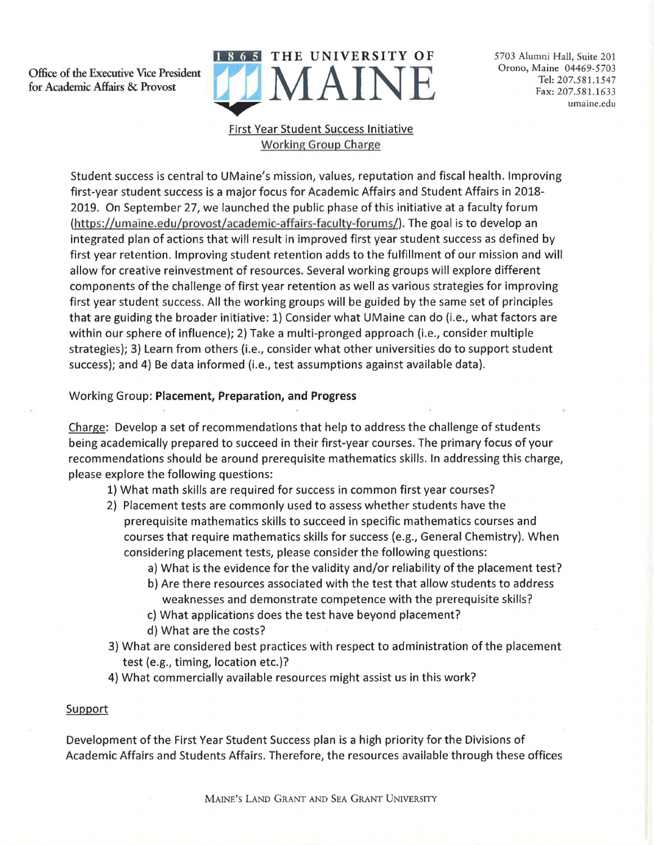Office of the Executive Vice President for Academic Affairs & Provost



5703 Alumni Hall, Suite 201 Orono, Maine 04469-5703 Tel: 207.581.1547 Fax: 207.581.1633 umaine.edu

## First Year Student Success Initiative Working Group Charge

Student success is central to UMaine's mission, values, reputation and fiscal health. Improving first-year student success is a major focus for Academic Affairs and Student Affairs in 2018- 2019. On September 27, we launched the public phase of this initiative at a faculty forum (https://umaine.edu/provost/academic-affairs-faculty-forums/). The goal is to develop an integrated plan of actions that will result in improved first year student success as defined by first year retention. Improving student retention adds to the fulfillment of our mission and will allow for creative reinvestment of resources. Several working groups will explore different components of the challenge of first year retention as well as various strategies for improving first year student success. All the working groups will be guided by the same set of principles that are guiding the broader initiative: 1) Consider what UMaine can do (i.e., what factors are within our sphere of influence); 2) Take a multi-pronged approach (i.e., consider multiple strategies); 3) Learn from others (i.e., consider what other universities do to support student success); and 4) Be data informed (i.e., test assumptions against available data).

Working Group: **Placement, Preparation, and Progress** 

Charge: Develop a set of recommendations that help to address the challenge of students being academically prepared to succeed in their first-year courses. The primary focus of your recommendations should be around prerequisite mathematics skills. In addressing this charge, please explore the following questions:

- 1) What math skills are required for success in common first year courses?
- 2) Placement tests are commonly used to assess whether students have the prerequisite mathematics skills to succeed in specific mathematics courses and courses that require mathematics skills for success (e.g., General Chemistry). When considering placement tests, please consider the following questions:
	- a) What is the evidence for the validity and/or reliability of the placement test?
	- b) Are there resources associated with the test that allow students to address weaknesses and demonstrate competence with the prerequisite skills?
	- c) What applications does the test have beyond placement?
	- d) What are the costs?
- 3) What are considered best practices with respect to administration of the placement test (e.g., timing, location etc.)?
- 4) What commercially available resources might assist us in this work?

## Support

Development of the First Year Student Success plan is a high priority for the Divisions of Academic Affairs and Students Affairs. Therefore, the resources available through these offices